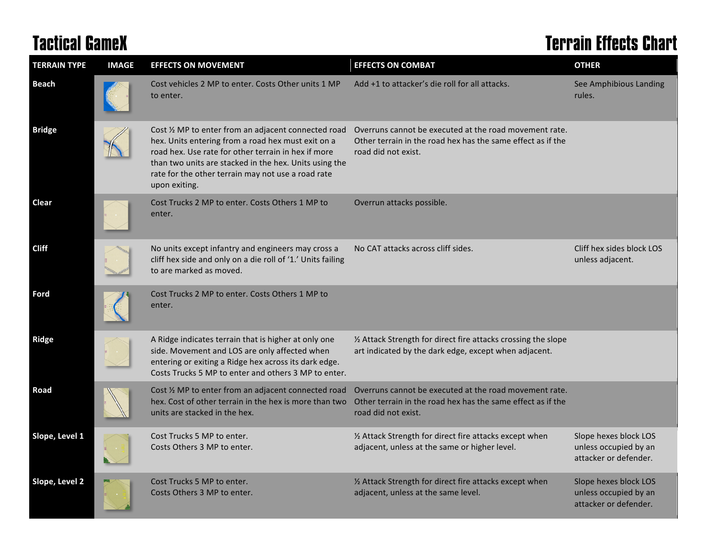## **Tactical GameX Terrain Effects Chart**

| <b>TERRAIN TYPE</b> | <b>IMAGE</b> | <b>EFFECTS ON MOVEMENT</b>                                                                                                                                                                                                                                                                         | <b>EFFECTS ON COMBAT</b>                                                                                                                     | <b>OTHER</b>                                                            |
|---------------------|--------------|----------------------------------------------------------------------------------------------------------------------------------------------------------------------------------------------------------------------------------------------------------------------------------------------------|----------------------------------------------------------------------------------------------------------------------------------------------|-------------------------------------------------------------------------|
| <b>Beach</b>        |              | Cost vehicles 2 MP to enter. Costs Other units 1 MP<br>to enter.                                                                                                                                                                                                                                   | Add +1 to attacker's die roll for all attacks.                                                                                               | See Amphibious Landing<br>rules.                                        |
| <b>Bridge</b>       |              | Cost 1/2 MP to enter from an adjacent connected road<br>hex. Units entering from a road hex must exit on a<br>road hex. Use rate for other terrain in hex if more<br>than two units are stacked in the hex. Units using the<br>rate for the other terrain may not use a road rate<br>upon exiting. | Overruns cannot be executed at the road movement rate.<br>Other terrain in the road hex has the same effect as if the<br>road did not exist. |                                                                         |
| Clear               |              | Cost Trucks 2 MP to enter. Costs Others 1 MP to<br>enter.                                                                                                                                                                                                                                          | Overrun attacks possible.                                                                                                                    |                                                                         |
| <b>Cliff</b>        |              | No units except infantry and engineers may cross a<br>cliff hex side and only on a die roll of '1.' Units failing<br>to are marked as moved.                                                                                                                                                       | No CAT attacks across cliff sides.                                                                                                           | Cliff hex sides block LOS<br>unless adjacent.                           |
| Ford                |              | Cost Trucks 2 MP to enter. Costs Others 1 MP to<br>enter.                                                                                                                                                                                                                                          |                                                                                                                                              |                                                                         |
| <b>Ridge</b>        |              | A Ridge indicates terrain that is higher at only one<br>side. Movement and LOS are only affected when<br>entering or exiting a Ridge hex across its dark edge.<br>Costs Trucks 5 MP to enter and others 3 MP to enter.                                                                             | 1/2 Attack Strength for direct fire attacks crossing the slope<br>art indicated by the dark edge, except when adjacent.                      |                                                                         |
| Road                |              | Cost 1/2 MP to enter from an adjacent connected road<br>hex. Cost of other terrain in the hex is more than two<br>units are stacked in the hex.                                                                                                                                                    | Overruns cannot be executed at the road movement rate.<br>Other terrain in the road hex has the same effect as if the<br>road did not exist. |                                                                         |
| Slope, Level 1      |              | Cost Trucks 5 MP to enter.<br>Costs Others 3 MP to enter.                                                                                                                                                                                                                                          | 1/2 Attack Strength for direct fire attacks except when<br>adjacent, unless at the same or higher level.                                     | Slope hexes block LOS<br>unless occupied by an<br>attacker or defender. |
| Slope, Level 2      |              | Cost Trucks 5 MP to enter.<br>Costs Others 3 MP to enter.                                                                                                                                                                                                                                          | 1/2 Attack Strength for direct fire attacks except when<br>adjacent, unless at the same level.                                               | Slope hexes block LOS<br>unless occupied by an<br>attacker or defender. |